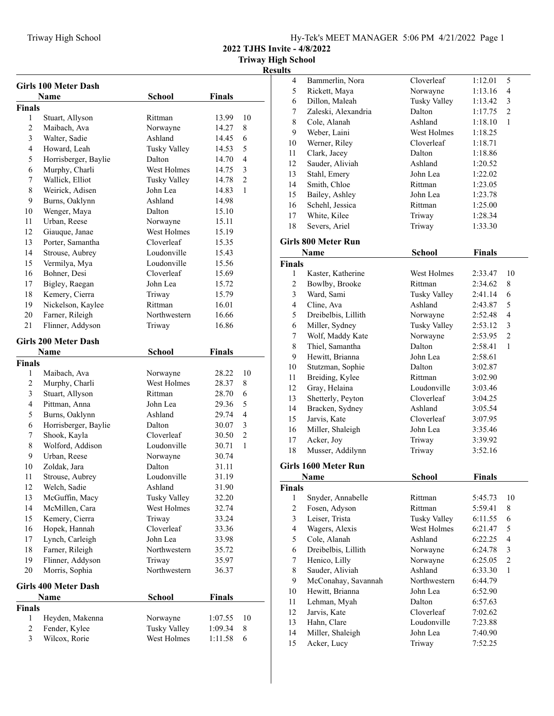| Hy-Tek's MEET MANAGER 5:06 PM 4/21/2022 Page 1 |
|------------------------------------------------|
|------------------------------------------------|

**2022 TJHS Invite - 4/8/2022**

**Triway High School Results**

|                | <b>Girls 100 Meter Dash</b> |                     |               |                |
|----------------|-----------------------------|---------------------|---------------|----------------|
|                | <b>Name</b>                 | <b>School</b>       | <b>Finals</b> |                |
| <b>Finals</b>  |                             |                     |               |                |
| 1              | Stuart, Allyson             | Rittman             | 13.99         | 10             |
| $\overline{2}$ | Maibach, Ava                | Norwayne            | 14.27         | 8              |
| 3              | Walter, Sadie               | Ashland             | 14.45         | 6              |
| 4              | Howard, Leah                | <b>Tusky Valley</b> | 14.53         | 5              |
| 5              | Horrisberger, Baylie        | Dalton              | 14.70         | 4              |
| 6              | Murphy, Charli              | West Holmes         | 14.75         | 3              |
| 7              | Wallick, Elliot             | <b>Tusky Valley</b> | 14.78         | 2              |
| 8              | Weirick, Adisen             | John Lea            | 14.83         | 1              |
| 9              | Burns, Oaklynn              | Ashland             | 14.98         |                |
| 10             | Wenger, Maya                | Dalton              | 15.10         |                |
| 11             | Urban, Reese                | Norwayne            | 15.11         |                |
| 12             | Giauque, Janae              | West Holmes         | 15.19         |                |
| 13             | Porter, Samantha            | Cloverleaf          | 15.35         |                |
| 14             | Strouse, Aubrey             | Loudonville         | 15.43         |                |
| 15             | Vermilya, Mya               | Loudonville         | 15.56         |                |
| 16             | Bohner, Desi                | Cloverleaf          | 15.69         |                |
| 17             | Bigley, Raegan              | John Lea            | 15.72         |                |
| 18             | Kemery, Cierra              | Triway              | 15.79         |                |
| 19             | Nickelson, Kaylee           | Rittman             | 16.01         |                |
| 20             | Farner, Rileigh             | Northwestern        | 16.66         |                |
| 21             | Flinner, Addyson            | Triway              | 16.86         |                |
|                |                             |                     |               |                |
|                | Girls 200 Meter Dash        |                     |               |                |
|                | Name                        | <b>School</b>       | Finals        |                |
| <b>Finals</b>  |                             |                     |               |                |
| 1              | Maibach, Ava                | Norwayne            | 28.22         | 10             |
| 2              | Murphy, Charli              | West Holmes         | 28.37         | 8              |
| 3              | Stuart, Allyson             | Rittman             | 28.70         | 6              |
| 4              | Pittman, Anna               | John Lea            | 29.36         | 5              |
| 5              | Burns, Oaklynn              | Ashland             | 29.74         | 4              |
| 6              | Horrisberger, Baylie        | Dalton              | 30.07         | 3              |
| 7              | Shook, Kayla                | Cloverleaf          | 30.50         | $\overline{2}$ |
| 8              | Wolford, Addison            | Loudonville         | 30.71         | 1              |
| 9              | Urban, Reese                | Norwayne            | 30.74         |                |
| 10             | Zoldak, Jara                | Dalton              | 31.11         |                |
| 11             | Strouse, Aubrey             | Loudonville         | 31.19         |                |
| 12             | Welch, Sadie                | Ashland             | 31.90         |                |
| 13             | McGuffin, Macy              | <b>Tusky Valley</b> | 32.20         |                |
| 14             | McMillen, Cara              | West Holmes         | 32.74         |                |
| 15             | Kemery, Cierra              | Triway              | 33.24         |                |
| 16             | Hopek, Hannah               | Cloverleaf          | 33.36         |                |
| 17             | Lynch, Carleigh             | John Lea            | 33.98         |                |
| 18             | Farner, Rileigh             | Northwestern        | 35.72         |                |
| 19             | Flinner, Addyson            | Triway              | 35.97         |                |
| 20             | Morris, Sophia              | Northwestern        | 36.37         |                |
|                | <b>Girls 400 Meter Dash</b> |                     |               |                |
|                | Name                        | <b>School</b>       | <b>Finals</b> |                |
| <b>Finals</b>  |                             |                     |               |                |
| 1              | Heyden, Makenna             | Norwayne            | 1:07.55       | 10             |
| 2              | Fender, Kylee               | <b>Tusky Valley</b> | 1:09.34       | 8              |
| 3              | Wilcox, Rorie               | West Holmes         | 1:11.58       | 6              |
|                |                             |                     |               |                |

| 4                       | Bammerlin, Nora                 | Cloverleaf          | 1:12.01       | 5                       |
|-------------------------|---------------------------------|---------------------|---------------|-------------------------|
| 5                       | Rickett, Maya                   | Norwayne            | 1:13.16       | 4                       |
| 6                       | Dillon, Maleah                  | <b>Tusky Valley</b> | 1:13.42       | 3                       |
| 7                       | Zaleski, Alexandria             | Dalton              | 1:17.75       | $\overline{c}$          |
| $\,$ $\,$               | Cole, Alanah                    | Ashland             | 1:18.10       | 1                       |
| 9                       | Weber, Laini                    | West Holmes         | 1:18.25       |                         |
| 10                      | Werner, Riley                   | Cloverleaf          | 1:18.71       |                         |
| 11                      | Clark, Jacey                    | Dalton              | 1:18.86       |                         |
| 12                      | Sauder, Aliviah                 | Ashland             | 1:20.52       |                         |
| 13                      | Stahl, Emery                    | John Lea            | 1:22.02       |                         |
| 14                      | Smith, Chloe                    | Rittman             | 1:23.05       |                         |
| 15                      | Bailey, Ashley                  | John Lea            | 1:23.78       |                         |
| 16                      | Schehl, Jessica                 | Rittman             | 1:25.00       |                         |
| 17                      | White, Kilee                    | Triway              | 1:28.34       |                         |
| 18                      | Severs, Ariel                   | Triway              | 1:33.30       |                         |
|                         | Girls 800 Meter Run             |                     |               |                         |
|                         | <b>Name</b>                     | <b>School</b>       | <b>Finals</b> |                         |
| Finals                  |                                 |                     |               |                         |
| 1                       | Kaster, Katherine               | West Holmes         | 2:33.47       | 10                      |
| $\overline{c}$          | Bowlby, Brooke                  | Rittman             | 2:34.62       | 8                       |
| $\overline{\mathbf{3}}$ | Ward, Sami                      | <b>Tusky Valley</b> | 2:41.14       | 6                       |
| $\overline{\mathbf{4}}$ | Cline, Ava                      | Ashland             | 2:43.87       | 5                       |
| 5                       | Dreibelbis, Lillith             | Norwayne            | 2:52.48       | $\overline{4}$          |
| 6                       | Miller, Sydney                  | <b>Tusky Valley</b> | 2:53.12       | 3                       |
| 7                       | Wolf, Maddy Kate                | Norwayne            | 2:53.95       | $\overline{c}$          |
| $\,$ $\,$               | Thiel, Samantha                 | Dalton              | 2:58.41       | $\mathbf{1}$            |
| 9                       | Hewitt, Brianna                 | John Lea            | 2:58.61       |                         |
| 10                      | Stutzman, Sophie                | Dalton              | 3:02.87       |                         |
| 11                      | Breiding, Kylee                 | Rittman             | 3:02.90       |                         |
| 12                      | Gray, Helaina                   | Loudonville         | 3:03.46       |                         |
| 13                      | Shetterly, Peyton               | Cloverleaf          | 3:04.25       |                         |
| 14                      | Bracken, Sydney                 | Ashland             | 3:05.54       |                         |
| 15                      | Jarvis, Kate                    | Cloverleaf          | 3:07.95       |                         |
| 16                      | Miller, Shaleigh                | John Lea            | 3:35.46       |                         |
| 17                      | Acker, Joy                      | Triway              | 3:39.92       |                         |
| 18                      | Musser, Addilynn                | Triway              | 3:52.16       |                         |
|                         |                                 |                     |               |                         |
|                         | Girls 1600 Meter Run            | School              |               |                         |
|                         | <b>Name</b>                     |                     | Finals        |                         |
| Finals<br>1             | Snyder, Annabelle               | Rittman             | 5:45.73       | 10                      |
| $\overline{c}$          | Fosen, Adyson                   | Rittman             | 5:59.41       | 8                       |
| $\overline{\mathbf{3}}$ | Leiser, Trista                  | <b>Tusky Valley</b> | 6:11.55       | 6                       |
| $\overline{\mathbf{4}}$ | Wagers, Alexis                  | West Holmes         | 6:21.47       | 5                       |
| 5                       | Cole, Alanah                    | Ashland             | 6:22.25       | $\overline{\mathbf{4}}$ |
| 6                       | Dreibelbis, Lillith             | Norwayne            | 6:24.78       | $\overline{\mathbf{3}}$ |
| $\boldsymbol{7}$        | Henico, Lilly                   | Norwayne            | 6:25.05       | $\overline{c}$          |
| $\,$ $\,$               | Sauder, Aliviah                 | Ashland             | 6:33.30       | 1                       |
| 9                       | McConahay, Savannah             | Northwestern        | 6:44.79       |                         |
| 10                      | Hewitt, Brianna                 | John Lea            | 6:52.90       |                         |
| 11                      | Lehman, Myah                    | Dalton              | 6:57.63       |                         |
| 12                      | Jarvis, Kate                    | Cloverleaf          | 7:02.62       |                         |
| 13                      | Hahn, Clare                     | Loudonville         |               |                         |
| 14                      |                                 | John Lea            | 7:23.88       |                         |
| 15                      | Miller, Shaleigh<br>Acker, Lucy | Triway              | 7:40.90       |                         |
|                         |                                 |                     | 7:52.25       |                         |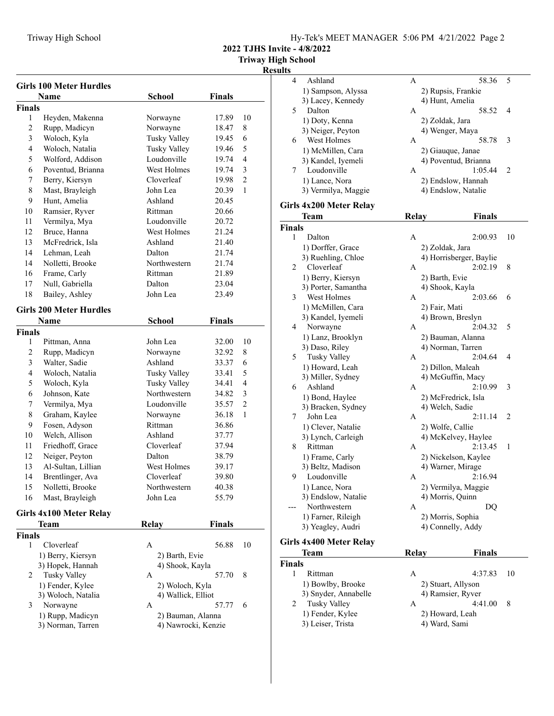**2022 TJHS Invite - 4/8/2022**

|                | <b>Girls 100 Meter Hurdles</b> |                     |               |                |
|----------------|--------------------------------|---------------------|---------------|----------------|
|                | Name                           | School              | <b>Finals</b> |                |
| <b>Finals</b>  |                                |                     |               |                |
| 1              | Heyden, Makenna                | Norwayne            | 17.89         | 10             |
| 2              | Rupp, Madicyn                  | Norwayne            | 18.47         | 8              |
| 3              | Woloch, Kyla                   | <b>Tusky Valley</b> | 19.45         | 6              |
| $\overline{4}$ | Woloch, Natalia                | Tusky Valley        | 19.46         | 5              |
| 5              | Wolford, Addison               | Loudonville         | 19.74         | 4              |
| 6              | Poventud, Brianna              | West Holmes         | 19.74         | 3              |
| 7              | Berry, Kiersyn                 | Cloverleaf          | 19.98         | $\overline{2}$ |
| 8              | Mast, Brayleigh                | John Lea            | 20.39         | 1              |
| 9              | Hunt, Amelia                   | Ashland             | 20.45         |                |
| 10             | Ramsier, Ryver                 | Rittman             | 20.66         |                |
| 11             | Vermilya, Mya                  | Loudonville         | 20.72         |                |
| 12             | Bruce, Hanna                   | West Holmes         | 21.24         |                |
| 13             | McFredrick, Isla               | Ashland             | 21.40         |                |
| 14             | Lehman, Leah                   | Dalton              | 21.74         |                |
| 14             | Nolletti, Brooke               | Northwestern        | 21.74         |                |
| 16             | Frame, Carly                   | Rittman             | 21.89         |                |
| 17             | Null, Gabriella                | Dalton              | 23.04         |                |
| 18             | Bailey, Ashley                 | John Lea            | 23.49         |                |
|                | <b>Girls 200 Meter Hurdles</b> |                     |               |                |
|                | Name                           | <b>School</b>       | <b>Finals</b> |                |
| <b>Finals</b>  |                                |                     |               |                |
| 1              | Pittman, Anna                  | John Lea            | 32.00         | 10             |
| $\overline{c}$ | Rupp, Madicyn                  | Norwayne            | 32.92         | 8              |
| 3              | Walter, Sadie                  | Ashland             | 33.37         | 6              |
| 4              | Woloch, Natalia                | Tusky Valley        | 33.41         | 5              |
| 5              | Woloch, Kyla                   | Tusky Valley        | 34.41         | 4              |
| 6              | Johnson, Kate                  | Northwestern        | 34.82         | 3              |
| 7              | Vermilya, Mya                  | Loudonville         | 35.57         | $\overline{2}$ |
| 8              | Graham, Kaylee                 | Norwayne            | 36.18         | 1              |
| 9              | Fosen, Adyson                  | Rittman             | 36.86         |                |
| 10             | Welch, Allison                 | Ashland             | 37.77         |                |
| 11             | Friedhoff, Grace               | Cloverleaf          | 37.94         |                |
| 12             | Neiger, Peyton                 | Dalton              | 38.79         |                |
| 13             | Al-Sultan, Lillian             | West Holmes         | 39.17         |                |
| 14             | Brentlinger, Ava               | Cloverleaf          | 39.80         |                |
| 15             | Nolletti, Brooke               | Northwestern        | 40.38         |                |
| 16             | Mast, Brayleigh                | John Lea            | 55.79         |                |
|                | Girls 4x100 Meter Relay        |                     |               |                |
|                | Team                           | <b>Relay</b>        | <b>Finals</b> |                |
| <b>Finals</b>  |                                |                     |               |                |
| 1              | Cloverleaf                     | Α                   | 56.88         | 10             |
|                | 1) Berry, Kiersyn              | 2) Barth, Evie      |               |                |
|                | 3) Hopek, Hannah               | 4) Shook, Kayla     |               |                |
| 2              | <b>Tusky Valley</b>            | А                   | 57.70         | 8              |
|                | 1) Fender, Kylee               | 2) Woloch, Kyla     |               |                |
|                | 3) Woloch, Natalia             | 4) Wallick, Elliot  |               |                |
| 3              | Norwayne                       | А                   | 57.77         | 6              |
|                | 1) Rupp, Madicyn               | 2) Bauman, Alanna   |               |                |
|                | 3) Norman, Tarren              | 4) Nawrocki, Kenzie |               |                |
|                |                                |                     |               |                |

| ຸແມະບ         |                                             |              |                                                |    |
|---------------|---------------------------------------------|--------------|------------------------------------------------|----|
| 4             | Ashland                                     | Α            | 58.36                                          | 5  |
|               | 1) Sampson, Alyssa                          |              | 2) Rupsis, Frankie                             |    |
|               | 3) Lacey, Kennedy                           |              | 4) Hunt, Amelia                                |    |
| 5             | Dalton                                      | A            | 58.52                                          | 4  |
|               | 1) Doty, Kenna                              |              | 2) Zoldak, Jara                                |    |
|               | 3) Neiger, Peyton                           |              | 4) Wenger, Maya                                |    |
| 6             | West Holmes                                 | Α            | 58.78                                          | 3  |
|               | 1) McMillen, Cara                           |              |                                                |    |
|               |                                             |              | 2) Giauque, Janae<br>4) Poventud, Brianna      |    |
| 7             | 3) Kandel, Iyemeli<br>Loudonville           | А            | 1:05.44                                        | 2  |
|               |                                             |              |                                                |    |
|               | 1) Lance, Nora                              |              | 2) Endslow, Hannah                             |    |
|               | 3) Vermilya, Maggie                         |              | 4) Endslow, Natalie                            |    |
|               | Girls 4x200 Meter Relay                     |              |                                                |    |
|               | Team                                        | <b>Relay</b> | Finals                                         |    |
| <b>Finals</b> |                                             |              |                                                |    |
| 1             | Dalton                                      | А            | 2:00.93                                        | 10 |
|               | 1) Dorffer, Grace                           |              | 2) Zoldak, Jara                                |    |
|               | 3) Ruehling, Chloe                          |              | 4) Horrisberger, Baylie                        |    |
| 2             | Cloverleaf                                  | A            | 2:02.19                                        | 8  |
|               | 1) Berry, Kiersyn                           |              | 2) Barth, Evie                                 |    |
|               | 3) Porter, Samantha                         |              | 4) Shook, Kayla                                |    |
| 3             | West Holmes                                 | А            | 2:03.66                                        | 6  |
|               | 1) McMillen, Cara                           |              | 2) Fair, Mati                                  |    |
|               | 3) Kandel, Iyemeli                          |              | 4) Brown, Breslyn                              |    |
| 4             | Norwayne                                    | А            | 2:04.32                                        | 5  |
|               | 1) Lanz, Brooklyn                           |              |                                                |    |
|               | 3) Daso, Riley                              |              | 2) Bauman, Alanna<br>4) Norman, Tarren         |    |
| 5             |                                             | A            | 2:04.64                                        | 4  |
|               | Tusky Valley                                |              |                                                |    |
|               | 1) Howard, Leah                             |              | 2) Dillon, Maleah                              |    |
|               | 3) Miller, Sydney                           |              | 4) McGuffin, Macy                              | 3  |
| 6             | Ashland                                     | A            | 2:10.99                                        |    |
|               | 1) Bond, Haylee                             |              | 2) McFredrick, Isla                            |    |
|               | 3) Bracken, Sydney                          |              | 4) Welch, Sadie                                |    |
| 7             | John Lea                                    | А            | 2:11.14                                        | 2  |
|               | 1) Clever, Natalie                          |              | 2) Wolfe, Callie                               |    |
|               | 3) Lynch, Carleigh                          |              | 4) McKelvey, Haylee                            |    |
| 8             | Rittman                                     | A            | 2:13.45                                        | 1  |
|               | 1) Frame, Carly                             |              | 2) Nickelson, Kaylee                           |    |
|               | 3) Beltz, Madison                           |              | 4) Warner, Mirage                              |    |
| 9.            | Loudonville                                 | A            | 2:16.94                                        |    |
|               | 1) Lance, Nora                              |              | 2) Vermilya, Maggie                            |    |
|               | 3) Endslow, Natalie                         |              | 4) Morris, Quinn                               |    |
|               | Northwestern                                | А            | DQ                                             |    |
|               | 1) Farner, Rileigh                          |              | 2) Morris, Sophia                              |    |
|               | 3) Yeagley, Audri                           |              | 4) Connelly, Addy                              |    |
|               | Girls 4x400 Meter Relay                     |              |                                                |    |
|               | Team                                        | Relay        | Finals                                         |    |
| Finals        |                                             |              |                                                |    |
| 1             | Rittman                                     | A            | 4:37.83                                        | 10 |
|               |                                             |              |                                                |    |
|               | 1) Bowlby, Brooke<br>$2)$ Carrier Annaballa |              | 2) Stuart, Allyson<br>$\Lambda$ Domeior Divior |    |

| 3) Snyder, Annabelle | 4) Ramsier, Ryver |   |
|----------------------|-------------------|---|
| Tusky Valley         | 4:41.00           | 8 |
| 1) Fender, Kylee     | 2) Howard, Leah   |   |
| 3) Leiser, Trista    | 4) Ward, Sami     |   |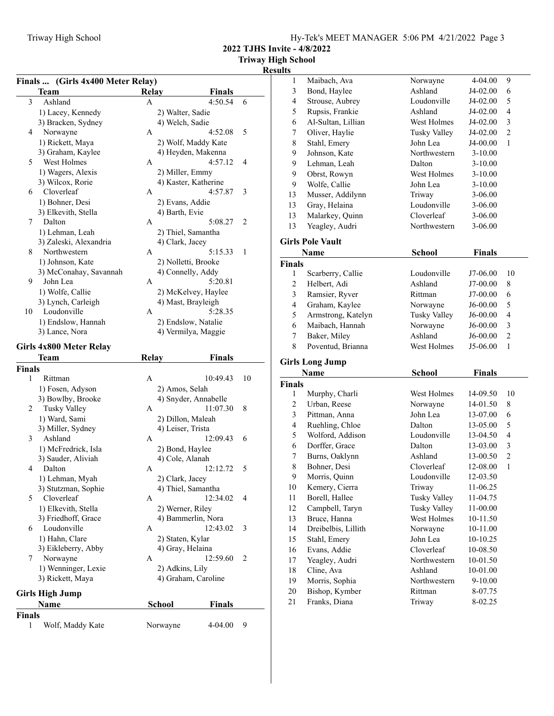**2022 TJHS Invite - 4/8/2022**

| Finals  (Girls 4x400 Meter Relay) |  |  |  |
|-----------------------------------|--|--|--|
|                                   |  |  |  |

|             | Finals  (Girls 4x400 Meter Relay)<br>Team | <b>Relay</b> |                      | Finals               |    |
|-------------|-------------------------------------------|--------------|----------------------|----------------------|----|
| 3           | Ashland                                   | A            |                      | 4:50.54              | 6  |
|             | 1) Lacey, Kennedy                         |              | 2) Walter, Sadie     |                      |    |
|             | 3) Bracken, Sydney                        |              | 4) Welch, Sadie      |                      |    |
| 4           | Norwayne                                  | A            |                      | 4:52.08              | 5  |
|             | 1) Rickett, Maya                          |              |                      | 2) Wolf, Maddy Kate  |    |
|             | 3) Graham, Kaylee                         |              | 4) Heyden, Makenna   |                      |    |
| 5           | West Holmes                               | A            |                      | 4:57.12              | 4  |
|             | 1) Wagers, Alexis                         |              | 2) Miller, Emmy      |                      |    |
|             | 3) Wilcox, Rorie                          |              | 4) Kaster, Katherine |                      |    |
| 6           | Cloverleaf                                | А            |                      | 4:57.87              | 3  |
|             | 1) Bohner, Desi                           |              | 2) Evans, Addie      |                      |    |
|             | 3) Elkevith, Stella                       |              | 4) Barth, Evie       |                      |    |
| 7           | Dalton                                    | А            |                      | 5:08.27              | 2  |
|             | 1) Lehman, Leah                           |              | 2) Thiel, Samantha   |                      |    |
|             | 3) Zaleski, Alexandria                    |              | 4) Clark, Jacey      |                      |    |
| 8           | Northwestern                              | А            |                      | 5:15.33              | 1  |
|             | 1) Johnson, Kate                          |              | 2) Nolletti, Brooke  |                      |    |
|             | 3) McConahay, Savannah                    |              | 4) Connelly, Addy    |                      |    |
| 9           | John Lea                                  | A            |                      | 5:20.81              |    |
|             | 1) Wolfe, Callie                          |              |                      | 2) McKelvey, Haylee  |    |
|             | 3) Lynch, Carleigh                        |              | 4) Mast, Brayleigh   |                      |    |
| 10          | Loudonville                               | A            |                      | 5:28.35              |    |
|             | 1) Endslow, Hannah                        |              | 2) Endslow, Natalie  |                      |    |
|             | 3) Lance, Nora                            |              | 4) Vermilya, Maggie  |                      |    |
|             |                                           |              |                      |                      |    |
|             | Girls 4x800 Meter Relay                   |              |                      |                      |    |
|             | Team                                      | Relay        |                      | Finals               |    |
| Finals<br>1 | Rittman                                   |              |                      |                      |    |
|             |                                           | A            |                      | 10:49.43             | 10 |
|             |                                           |              |                      |                      |    |
|             | 1) Fosen, Adyson                          |              | 2) Amos, Selah       |                      |    |
|             | 3) Bowlby, Brooke                         |              |                      | 4) Snyder, Annabelle |    |
| 2           | Tusky Valley                              | A            |                      | 11:07.30             | 8  |
|             | 1) Ward, Sami                             |              | 2) Dillon, Maleah    |                      |    |
|             | 3) Miller, Sydney                         |              | 4) Leiser, Trista    |                      |    |
| 3           | Ashland                                   | A            |                      | 12:09.43             | 6  |
|             | 1) McFredrick, Isla                       |              | 2) Bond, Haylee      |                      |    |
|             | 3) Sauder, Aliviah                        |              | 4) Cole, Alanah      |                      |    |
| 4           | Dalton                                    | A            |                      | 12:12.72             | 5  |
|             | 1) Lehman, Myah                           |              | 2) Clark, Jacey      |                      |    |
|             | 3) Stutzman, Sophie                       |              | 4) Thiel, Samantha   |                      |    |
| 5           | Cloverleaf                                | A            |                      | 12:34.02             | 4  |
|             | 1) Elkevith, Stella                       |              | 2) Werner, Riley     |                      |    |
|             | 3) Friedhoff, Grace                       |              | 4) Bammerlin, Nora   |                      |    |
| 6           | Loudonville                               | A            |                      | 12:43.02             | 3  |
|             | 1) Hahn, Clare                            |              | 2) Staten, Kylar     |                      |    |
|             | 3) Eikleberry, Abby                       |              | 4) Gray, Helaina     |                      |    |
| 7           | Norwayne                                  | A            |                      | 12:59.60             | 2  |
|             | 1) Wenninger, Lexie                       |              | 2) Adkins, Lily      |                      |    |
|             | 3) Rickett, Maya                          |              | 4) Graham, Caroline  |                      |    |
|             | <b>Girls High Jump</b>                    |              |                      |                      |    |
|             | Name                                      |              | <b>School</b>        | Finals               |    |
| Finals<br>1 | Wolf, Maddy Kate                          |              | Norwayne             | 4-04.00              | 9  |

| $\mathbf{1}$       | Maibach, Ava                   | Norwayne            | 4-04.00       | 9              |
|--------------------|--------------------------------|---------------------|---------------|----------------|
| $\mathfrak{Z}$     | Bond, Haylee                   | Ashland             | J4-02.00      | 6              |
| $\overline{4}$     | Strouse, Aubrey                | Loudonville         | J4-02.00      | 5              |
| 5                  | Rupsis, Frankie                | Ashland             | J4-02.00      | $\overline{4}$ |
| 6                  | Al-Sultan, Lillian             | West Holmes         | J4-02.00      | 3              |
| 7                  | Oliver, Haylie                 | <b>Tusky Valley</b> | J4-02.00      | $\overline{c}$ |
| 8                  | Stahl, Emery                   | John Lea            | J4-00.00      | 1              |
| 9                  | Johnson, Kate                  | Northwestern        | $3-10.00$     |                |
| 9                  | Lehman, Leah                   | Dalton              | $3-10.00$     |                |
| 9                  | Obrst, Rowyn                   | West Holmes         | $3-10.00$     |                |
| 9                  | Wolfe, Callie                  | John Lea            | $3-10.00$     |                |
| 13                 | Musser, Addilynn               | Triway              | 3-06.00       |                |
| 13                 | Gray, Helaina                  | Loudonville         | 3-06.00       |                |
| 13                 | Malarkey, Quinn                | Cloverleaf          | 3-06.00       |                |
| 13                 | Yeagley, Audri                 | Northwestern        | 3-06.00       |                |
|                    |                                |                     |               |                |
|                    | <b>Girls Pole Vault</b>        |                     |               |                |
|                    | Name                           | <b>School</b>       | <b>Finals</b> |                |
| <b>Finals</b>      |                                |                     |               |                |
| 1                  | Scarberry, Callie              | Loudonville         | J7-06.00      | 10             |
| 2                  | Helbert, Adi                   | Ashland             | J7-00.00      | 8              |
| $\mathfrak{Z}$     | Ramsier, Ryver                 | Rittman             | J7-00.00      | 6              |
| $\overline{4}$     | Graham, Kaylee                 | Norwayne            | J6-00.00      | 5              |
| 5                  | Armstrong, Katelyn             | <b>Tusky Valley</b> | J6-00.00      | $\overline{4}$ |
| 6                  | Maibach, Hannah                | Norwayne            | J6-00.00      | 3              |
| 7                  | Baker, Miley                   | Ashland             | J6-00.00      | $\overline{2}$ |
| 8                  | Poventud, Brianna              | West Holmes         | J5-06.00      | 1              |
|                    |                                |                     |               |                |
|                    |                                |                     |               |                |
|                    | <b>Girls Long Jump</b><br>Name |                     |               |                |
|                    |                                | School              | <b>Finals</b> |                |
| <b>Finals</b><br>1 |                                | West Holmes         | 14-09.50      | 10             |
| $\overline{c}$     | Murphy, Charli<br>Urban, Reese | Norwayne            | 14-01.50      | 8              |
| 3                  | Pittman, Anna                  | John Lea            | 13-07.00      | 6              |
| 4                  | Ruehling, Chloe                | Dalton              | 13-05.00      | 5              |
| 5                  | Wolford, Addison               | Loudonville         | 13-04.50      | 4              |
| 6                  | Dorffer, Grace                 | Dalton              | 13-03.00      | 3              |
| 7                  | Burns, Oaklynn                 | Ashland             | 13-00.50      | $\overline{c}$ |
| 8                  | Bohner, Desi                   | Cloverleaf          | 12-08.00      | $\mathbf{1}$   |
| 9                  | Morris, Quinn                  | Loudonville         | 12-03.50      |                |
| 10                 | Kemery, Cierra                 | Triway              | 11-06.25      |                |
| 11                 | Borell, Hallee                 | <b>Tusky Valley</b> | 11-04.75      |                |
| 12                 | Campbell, Taryn                | <b>Tusky Valley</b> | 11-00.00      |                |
| 13                 | Bruce, Hanna                   | West Holmes         | 10-11.50      |                |
| 14                 | Dreibelbis, Lillith            | Norwayne            | 10-11.00      |                |
| 15                 | Stahl, Emery                   | John Lea            | 10-10.25      |                |
| 16                 | Evans, Addie                   | Cloverleaf          | 10-08.50      |                |
| 17                 | Yeagley, Audri                 | Northwestern        | 10-01.50      |                |
| 18                 | Cline, Ava                     | Ashland             | 10-01.00      |                |
| 19                 | Morris, Sophia                 | Northwestern        | 9-10.00       |                |
| $20\,$             | Bishop, Kymber                 | Rittman             | 8-07.75       |                |
| 21                 | Franks, Diana                  | Triway              | 8-02.25       |                |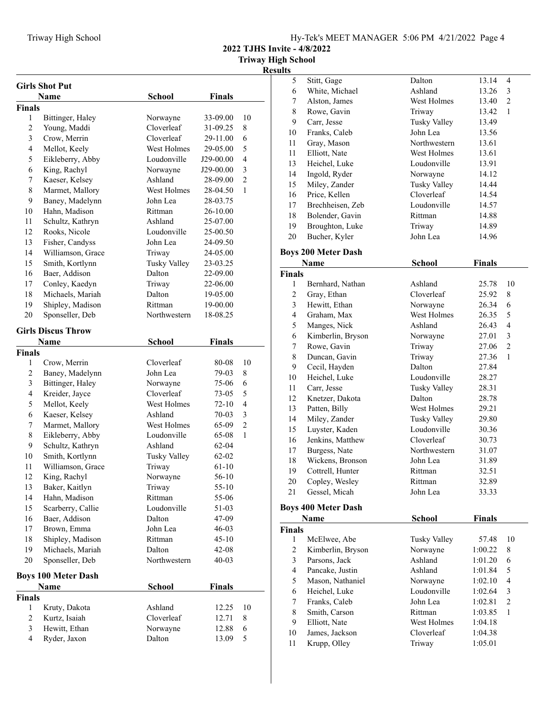| Hy-Tek's MEET MANAGER 5:06 PM 4/21/2022 Page 4 |  |  |  |
|------------------------------------------------|--|--|--|
|------------------------------------------------|--|--|--|

**2022 TJHS Invite - 4/8/2022**

|                | <b>Girls Shot Put</b>      |               |               |                |
|----------------|----------------------------|---------------|---------------|----------------|
|                | Name                       | <b>School</b> | <b>Finals</b> |                |
| <b>Finals</b>  |                            |               |               |                |
| 1              | Bittinger, Haley           | Norwayne      | 33-09.00      | 10             |
| $\overline{2}$ | Young, Maddi               | Cloverleaf    | 31-09.25      | 8              |
| 3              | Crow, Merrin               | Cloverleaf    | 29-11.00      | 6              |
| 4              | Mellot, Keely              | West Holmes   | 29-05.00      | 5              |
| 5              | Eikleberry, Abby           | Loudonville   | J29-00.00     | 4              |
| 6              | King, Rachyl               | Norwayne      | J29-00.00     | 3              |
| 7              | Kaeser, Kelsey             | Ashland       | 28-09.00      | $\overline{2}$ |
| 8              | Marmet, Mallory            | West Holmes   | 28-04.50      | 1              |
| 9              | Baney, Madelynn            | John Lea      | 28-03.75      |                |
| 10             | Hahn, Madison              | Rittman       | 26-10.00      |                |
| 11             | Schultz, Kathryn           | Ashland       | 25-07.00      |                |
| 12             | Rooks, Nicole              | Loudonville   | 25-00.50      |                |
| 13             | Fisher, Candyss            | John Lea      | 24-09.50      |                |
| 14             | Williamson, Grace          | Triway        | 24-05.00      |                |
| 15             | Smith, Kortlynn            | Tusky Valley  | 23-03.25      |                |
| 16             | Baer, Addison              | Dalton        | 22-09.00      |                |
| 17             | Conley, Kaedyn             | Triway        | 22-06.00      |                |
| 18             | Michaels, Mariah           | Dalton        | 19-05.00      |                |
| 19             | Shipley, Madison           | Rittman       | 19-00.00      |                |
| 20             | Sponseller, Deb            | Northwestern  | 18-08.25      |                |
|                |                            |               |               |                |
|                | <b>Girls Discus Throw</b>  |               |               |                |
|                | Name                       | <b>School</b> | <b>Finals</b> |                |
| <b>Finals</b>  |                            |               |               |                |
| 1              | Crow, Merrin               | Cloverleaf    | 80-08         | 10             |
| $\overline{c}$ | Baney, Madelynn            | John Lea      | 79-03         | 8              |
| 3              | Bittinger, Haley           | Norwayne      | 75-06         | 6              |
| $\overline{4}$ | Kreider, Jayce             | Cloverleaf    | 73-05         | 5              |
| 5              | Mellot, Keely              | West Holmes   | 72-10         | 4              |
| 6              | Kaeser, Kelsey             | Ashland       | 70-03         | 3              |
| 7              | Marmet, Mallory            | West Holmes   | 65-09         | $\overline{2}$ |
| 8              | Eikleberry, Abby           | Loudonville   | 65-08         | 1              |
| 9              | Schultz, Kathryn           | Ashland       | 62-04         |                |
| 10             | Smith, Kortlynn            | Tusky Valley  | $62 - 02$     |                |
| 11             | Williamson, Grace          | Triway        | 61-10         |                |
| 12             | King, Rachyl               | Norwayne      | 56-10         |                |
| 13             | Baker, Kaitlyn             | Triway        | 55-10         |                |
| 14             | Hahn, Madison              | Rittman       | 55-06         |                |
| 15             | Scarberry, Callie          | Loudonville   | 51-03         |                |
| 16             | Baer, Addison              | Dalton        | 47-09         |                |
| 17             | Brown, Emma                | John Lea      | $46 - 03$     |                |
| 18             | Shipley, Madison           | Rittman       | $45 - 10$     |                |
| 19             | Michaels, Mariah           | Dalton        | $42 - 08$     |                |
| 20             | Sponseller, Deb            | Northwestern  | $40 - 03$     |                |
|                | <b>Boys 100 Meter Dash</b> |               |               |                |
|                | Name                       | <b>School</b> | <b>Finals</b> |                |
| <b>Finals</b>  |                            |               |               |                |
| 1              | Kruty, Dakota              | Ashland       | 12.25         | 10             |
| 2              | Kurtz, Isaiah              | Cloverleaf    | 12.71         | 8              |
| 3              | Hewitt, Ethan              | Norwayne      | 12.88         | 6              |
| $\overline{4}$ | Ryder, Jaxon               | Dalton        | 13.09         | 5              |
|                |                            |               |               |                |

| sults              |                                  |                               |                |                              |
|--------------------|----------------------------------|-------------------------------|----------------|------------------------------|
| 5                  | Stitt, Gage                      | Dalton                        | 13.14          | $\overline{4}$               |
| 6                  | White, Michael                   | Ashland                       | 13.26          | 3                            |
| $\tau$             | Alston, James                    | West Holmes                   | 13.40          | $\overline{2}$               |
| 8                  | Rowe, Gavin                      | Triway                        | 13.42          | $\mathbf{1}$                 |
| 9                  | Carr, Jesse                      | <b>Tusky Valley</b>           | 13.49          |                              |
| 10                 | Franks, Caleb                    | John Lea                      | 13.56          |                              |
| 11                 | Gray, Mason                      | Northwestern                  | 13.61          |                              |
| 11                 | Elliott, Nate                    | West Holmes                   | 13.61          |                              |
| 13                 | Heichel, Luke                    | Loudonville                   | 13.91          |                              |
| 14                 | Ingold, Ryder                    | Norwayne                      | 14.12          |                              |
| 15                 | Miley, Zander                    | <b>Tusky Valley</b>           | 14.44          |                              |
| 16                 | Price, Kellen                    | Cloverleaf                    | 14.54          |                              |
| 17                 | Brechheisen, Zeb                 | Loudonville                   | 14.57          |                              |
| 18                 | Bolender, Gavin                  | Rittman                       | 14.88          |                              |
| 19                 | Broughton, Luke                  | Triway                        | 14.89          |                              |
| 20                 | Bucher, Kyler                    | John Lea                      | 14.96          |                              |
|                    |                                  |                               |                |                              |
|                    | <b>Boys 200 Meter Dash</b>       |                               |                |                              |
|                    | Name                             | School                        | <b>Finals</b>  |                              |
| <b>Finals</b><br>1 |                                  | Ashland                       | 25.78          | 10                           |
| $\overline{c}$     | Bernhard, Nathan                 | Cloverleaf                    |                |                              |
| 3                  | Gray, Ethan<br>Hewitt, Ethan     | Norwayne                      | 25.92<br>26.34 | 8<br>6                       |
| $\overline{4}$     |                                  | West Holmes                   |                |                              |
| 5                  | Graham, Max                      | Ashland                       | 26.35          | 5<br>$\overline{\mathbf{4}}$ |
| 6                  | Manges, Nick                     |                               | 26.43          | 3                            |
|                    | Kimberlin, Bryson                | Norwayne                      | 27.01          | $\overline{c}$               |
| 7<br>8             | Rowe, Gavin                      | Triway                        | 27.06          | 1                            |
|                    | Duncan, Gavin                    | Triway<br>Dalton              | 27.36          |                              |
| 9                  | Cecil, Hayden                    |                               | 27.84          |                              |
| 10<br>11           | Heichel, Luke<br>Carr, Jesse     | Loudonville                   | 28.27          |                              |
| 12                 |                                  | <b>Tusky Valley</b><br>Dalton | 28.31          |                              |
| 13                 | Knetzer, Dakota<br>Patten, Billy | West Holmes                   | 28.78          |                              |
| 14                 | Miley, Zander                    | Tusky Valley                  | 29.21<br>29.80 |                              |
| 15                 | Luyster, Kaden                   | Loudonville                   | 30.36          |                              |
| 16                 | Jenkins, Matthew                 | Cloverleaf                    | 30.73          |                              |
| 17                 | Burgess, Nate                    | Northwestern                  | 31.07          |                              |
| 18                 | Wickens, Bronson                 | John Lea                      | 31.89          |                              |
| 19                 | Cottrell, Hunter                 | Rittman                       | 32.51          |                              |
| 20                 | Copley, Wesley                   | Rittman                       | 32.89          |                              |
| 21                 | Gessel, Micah                    | John Lea                      | 33.33          |                              |
|                    |                                  |                               |                |                              |
|                    | <b>Boys 400 Meter Dash</b>       |                               |                |                              |
|                    | Name                             | School                        | <b>Finals</b>  |                              |
| <b>Finals</b>      |                                  |                               |                |                              |
| 1                  | McElwee, Abe                     | <b>Tusky Valley</b>           | 57.48          | 10                           |
| $\overline{c}$     | Kimberlin, Bryson                | Norwayne                      | 1:00.22        | 8                            |
| 3                  | Parsons, Jack                    | Ashland                       | 1:01.20        | 6                            |
| $\overline{4}$     | Pancake, Justin                  | Ashland                       | 1:01.84        | 5                            |
| 5                  | Mason, Nathaniel                 | Norwayne                      | 1:02.10        | 4                            |
| 6                  | Heichel, Luke                    | Loudonville                   | 1:02.64        | 3                            |
| 7                  | Franks, Caleb                    | John Lea                      | 1:02.81        | $\overline{c}$               |
| 8                  | Smith, Carson                    | Rittman                       | 1:03.85        | 1                            |
| 9                  | Elliott, Nate                    | West Holmes                   | 1:04.18        |                              |
| 10                 | James, Jackson                   | Cloverleaf                    | 1:04.38        |                              |
| 11                 | Krupp, Olley                     | Triway                        | 1:05.01        |                              |
|                    |                                  |                               |                |                              |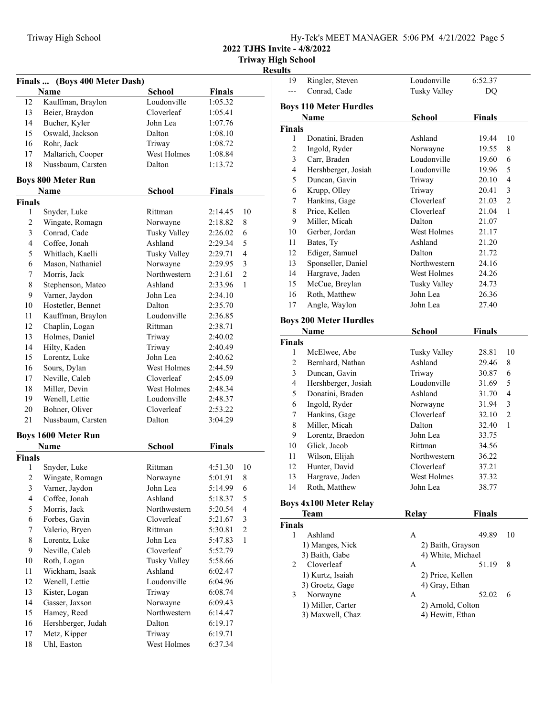**2022 TJHS Invite - 4/8/2022**

**Triway High School**

| <b>Results</b> |
|----------------|
|----------------|

| Finals                  | (Boys 400 Meter Dash)      |                     |               | ĸ                       |
|-------------------------|----------------------------|---------------------|---------------|-------------------------|
|                         | Name                       | <b>School</b>       | Finals        |                         |
| 12                      | Kauffman, Braylon          | Loudonville         | 1:05.32       |                         |
| 13                      | Beier, Braydon             | Cloverleaf          | 1:05.41       |                         |
| 14                      | Bucher, Kyler              | John Lea            | 1:07.76       |                         |
| 15                      | Oswald, Jackson            | Dalton              | 1:08.10       |                         |
| 16                      | Rohr, Jack                 | Triway              | 1:08.72       |                         |
| 17                      | Maltarich, Cooper          | West Holmes         | 1:08.84       |                         |
| 18                      | Nussbaum, Carsten          | Dalton              | 1:13.72       |                         |
|                         | <b>Boys 800 Meter Run</b>  |                     |               |                         |
|                         | <b>Name</b>                | <b>School</b>       | Finals        |                         |
| <b>Finals</b>           |                            |                     |               |                         |
| 1                       | Snyder, Luke               | Rittman             | 2:14.45       | 10                      |
| 2                       | Wingate, Romagn            | Norwayne            | 2:18.82       | 8                       |
| 3                       | Conrad, Cade               | <b>Tusky Valley</b> | 2:26.02       | 6                       |
| $\overline{4}$          | Coffee, Jonah              | Ashland             | 2:29.34       | 5                       |
| 5                       | Whitlach, Kaelli           | <b>Tusky Valley</b> | 2:29.71       | 4                       |
| 6                       | Mason, Nathaniel           | Norwayne            | 2:29.95       | 3                       |
| 7                       | Morris, Jack               | Northwestern        | 2:31.61       | $\overline{2}$          |
| 8                       | Stephenson, Mateo          | Ashland             | 2:33.96       | 1                       |
| 9                       | Varner, Jaydon             | John Lea            | 2:34.10       |                         |
| 10                      | Hostetler, Bennet          | Dalton              | 2:35.70       |                         |
| 11                      | Kauffman, Braylon          | Loudonville         | 2:36.85       |                         |
| 12                      | Chaplin, Logan             | Rittman             | 2:38.71       |                         |
| 13                      | Holmes, Daniel             | Triway              | 2:40.02       |                         |
| 14                      | Hilty, Kaden               | Triway              | 2:40.49       |                         |
| 15                      | Lorentz, Luke              | John Lea            | 2:40.62       |                         |
| 16                      | Sours, Dylan               | West Holmes         | 2:44.59       |                         |
| 17                      | Neville, Caleb             | Cloverleaf          | 2:45.09       |                         |
| 18                      | Miller, Devin              | West Holmes         | 2:48.34       |                         |
| 19                      | Wenell, Lettie             | Loudonville         | 2:48.37       |                         |
| 20                      | Bohner, Oliver             | Cloverleaf          | 2:53.22       |                         |
| 21                      | Nussbaum, Carsten          | Dalton              | 3:04.29       |                         |
|                         | <b>Boys 1600 Meter Run</b> |                     |               |                         |
|                         | Name                       | <b>School</b>       | <b>Finals</b> |                         |
| <b>Finals</b>           |                            |                     |               |                         |
| 1                       | Snyder, Luke               | Rittman             | 4:51.30       | 10                      |
| 2                       | Wingate, Romagn            | Norwayne            | 5:01.91       | 8                       |
| $\overline{\mathbf{3}}$ | Varner, Jaydon             | John Lea            | 5:14.99       | 6                       |
| $\overline{4}$          | Coffee, Jonah              | Ashland             | 5:18.37       | 5                       |
| 5                       | Morris, Jack               | Northwestern        | 5:20.54       | $\overline{\mathbf{4}}$ |
| 6                       | Forbes, Gavin              | Cloverleaf          | 5:21.67       | 3                       |
| 7                       | Valerio, Bryen             | Rittman             | 5:30.81       | $\overline{c}$          |
| 8                       | Lorentz, Luke              | John Lea            | 5:47.83       | $\mathbf{1}$            |
| 9                       | Neville, Caleb             | Cloverleaf          | 5:52.79       |                         |
| 10                      | Roth, Logan                | <b>Tusky Valley</b> | 5:58.66       |                         |
| 11                      | Wickham, Isaak             | Ashland             | 6:02.47       |                         |
| 12                      | Wenell, Lettie             | Loudonville         | 6:04.96       |                         |
| 13                      | Kister, Logan              | Triway              | 6:08.74       |                         |
| 14                      | Gasser, Jaxson             | Norwayne            | 6:09.43       |                         |
| 15                      | Hamey, Reed                | Northwestern        | 6:14.47       |                         |
| 16                      | Hershberger, Judah         | Dalton              | 6:19.17       |                         |
| 17                      | Metz, Kipper               | Triway              | 6:19.71       |                         |
| 18                      | Uhl, Easton                | West Holmes         | 6:37.34       |                         |

| 19                      | Ringler, Steven                       | Loudonville                           | 6:52.37 |                |
|-------------------------|---------------------------------------|---------------------------------------|---------|----------------|
|                         | Conrad, Cade                          | <b>Tusky Valley</b>                   | DQ      |                |
|                         |                                       |                                       |         |                |
|                         | <b>Boys 110 Meter Hurdles</b>         |                                       |         |                |
|                         | Name                                  | School                                | Finals  |                |
| <b>Finals</b>           |                                       |                                       |         |                |
| 1                       | Donatini, Braden                      | Ashland                               | 19.44   | 10             |
| 2                       | Ingold, Ryder                         | Norwayne                              | 19.55   | 8              |
| 3                       | Carr, Braden                          | Loudonville                           | 19.60   | 6              |
| 4                       | Hershberger, Josiah                   | Loudonville                           | 19.96   | 5              |
| 5                       | Duncan, Gavin                         | Triway                                | 20.10   | 4              |
| 6                       | Krupp, Olley                          | Triway                                | 20.41   | 3              |
| 7                       | Hankins, Gage                         | Cloverleaf                            | 21.03   | $\overline{c}$ |
| 8                       | Price, Kellen                         | Cloverleaf                            | 21.04   | 1              |
| 9                       | Miller, Micah                         | Dalton                                | 21.07   |                |
| 10                      | Gerber, Jordan                        | West Holmes                           | 21.17   |                |
| 11                      | Bates, Ty                             | Ashland                               | 21.20   |                |
| 12                      | Ediger, Samuel                        | Dalton                                | 21.72   |                |
| 13                      | Sponseller, Daniel                    | Northwestern                          | 24.16   |                |
| 14                      | Hargrave, Jaden                       | West Holmes                           | 24.26   |                |
| 15                      | McCue, Breylan                        | <b>Tusky Valley</b>                   | 24.73   |                |
| 16                      | Roth, Matthew                         | John Lea                              | 26.36   |                |
| 17                      | Angle, Waylon                         | John Lea                              | 27.40   |                |
|                         |                                       |                                       |         |                |
|                         | <b>Boys 200 Meter Hurdles</b>         |                                       |         |                |
|                         | <b>Name</b>                           | School                                | Finals  |                |
| <b>Finals</b>           |                                       |                                       |         |                |
| 1                       | McElwee, Abe                          | <b>Tusky Valley</b>                   | 28.81   | 10             |
| 2                       | Bernhard, Nathan                      | Ashland                               | 29.46   | 8              |
| 3                       | Duncan, Gavin                         | Triway                                | 30.87   | 6              |
| $\overline{\mathbf{4}}$ | Hershberger, Josiah                   | Loudonville                           | 31.69   | 5              |
| 5                       | Donatini, Braden                      | Ashland                               | 31.70   | $\overline{4}$ |
| 6                       | Ingold, Ryder                         | Norwayne                              | 31.94   | $\mathfrak{Z}$ |
| 7                       | Hankins, Gage                         | Cloverleaf                            | 32.10   | $\overline{c}$ |
| $\,$ $\,$               | Miller, Micah                         | Dalton                                | 32.40   | $\mathbf{1}$   |
| 9                       | Lorentz, Braedon                      | John Lea                              | 33.75   |                |
| 10                      | Glick, Jacob                          | Rittman                               | 34.56   |                |
| 11                      | Wilson, Elijah                        | Northwestern                          | 36.22   |                |
| 12                      | Hunter, David                         | Cloverleaf                            | 37.21   |                |
| 13                      | Hargrave, Jaden                       | West Holmes                           | 37.32   |                |
| 14                      | Roth, Matthew                         | John Lea                              | 38.77   |                |
|                         |                                       |                                       |         |                |
|                         | <b>Boys 4x100 Meter Relay</b>         |                                       |         |                |
|                         | Team                                  | Relay                                 | Finals  |                |
| <b>Finals</b>           |                                       |                                       |         |                |
| 1                       | Ashland                               | Α                                     | 49.89   | 10             |
|                         | 1) Manges, Nick                       | 2) Baith, Grayson                     |         |                |
|                         | 3) Baith, Gabe                        | 4) White, Michael                     |         |                |
| 2                       | Cloverleaf                            | A                                     | 51.19   | 8              |
|                         | 1) Kurtz, Isaiah                      | 2) Price, Kellen                      |         |                |
| 3                       | 3) Groetz, Gage                       | 4) Gray, Ethan                        | 52.02   | 6              |
|                         | Norwayne                              | А                                     |         |                |
|                         | 1) Miller, Carter<br>3) Maxwell, Chaz | 2) Arnold, Colton<br>4) Hewitt, Ethan |         |                |
|                         |                                       |                                       |         |                |
|                         |                                       |                                       |         |                |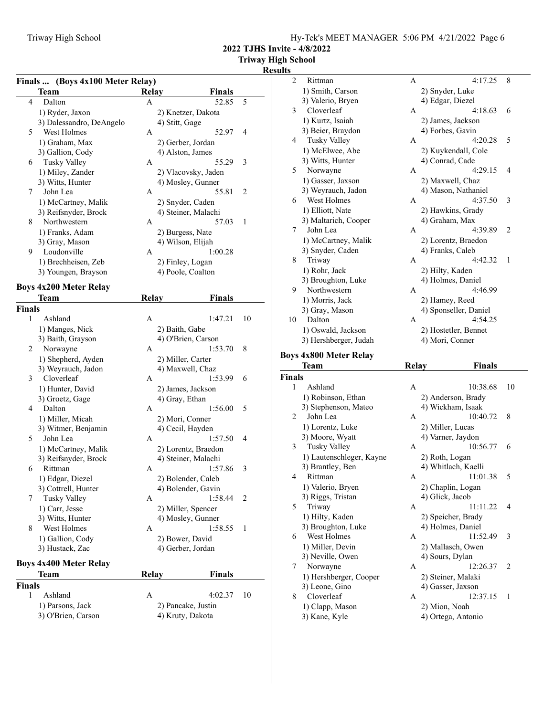**2022 TJHS Invite - 4/8/2022**

## **Triway High School**

|  | Finals  (Boys 4x100 Meter Relay) |
|--|----------------------------------|
|  |                                  |

|        | Finals  (Boys 4x100 Meter Relay) |              | <b>Finals</b>       |    |
|--------|----------------------------------|--------------|---------------------|----|
|        | Team                             | <b>Relay</b> |                     |    |
| 4      | Dalton                           | А            | 52.85               | 5  |
|        | 1) Ryder, Jaxon                  |              | 2) Knetzer, Dakota  |    |
|        | 3) Dalessandro, DeAngelo         |              | 4) Stitt, Gage      |    |
| 5      | West Holmes                      | A            | 52.97               | 4  |
|        | 1) Graham, Max                   |              | 2) Gerber, Jordan   |    |
|        | 3) Gallion, Cody                 |              | 4) Alston, James    |    |
| 6      | Tusky Valley                     | А            | 55.29               | 3  |
|        | 1) Miley, Zander                 |              | 2) Vlacovsky, Jaden |    |
|        | 3) Witts, Hunter                 |              | 4) Mosley, Gunner   |    |
| 7      | John Lea                         | $\mathbf{A}$ | 55.81               | 2  |
|        | 1) McCartney, Malik              |              | 2) Snyder, Caden    |    |
|        | 3) Reifsnyder, Brock             |              | 4) Steiner, Malachi |    |
| 8      | Northwestern                     | A            | 57.03               | 1  |
|        | 1) Franks, Adam                  |              | 2) Burgess, Nate    |    |
|        | 3) Gray, Mason                   |              | 4) Wilson, Elijah   |    |
| 9      | Loudonville                      | A            | 1:00.28             |    |
|        | 1) Brechheisen, Zeb              |              | 2) Finley, Logan    |    |
|        |                                  |              | 4) Poole, Coalton   |    |
|        | 3) Youngen, Brayson              |              |                     |    |
|        | <b>Boys 4x200 Meter Relay</b>    |              |                     |    |
|        | Team                             | <b>Relay</b> | Finals              |    |
| Finals |                                  |              |                     |    |
| 1      | Ashland                          | А            | 1:47.21             | 10 |
|        | 1) Manges, Nick                  |              | 2) Baith, Gabe      |    |
|        | 3) Baith, Grayson                |              | 4) O'Brien, Carson  |    |
| 2      | Norwayne                         | А            | 1:53.70             | 8  |
|        | 1) Shepherd, Ayden               |              | 2) Miller, Carter   |    |
|        | 3) Weyrauch, Jadon               |              | 4) Maxwell, Chaz    |    |
| 3      | Cloverleaf                       | А            | 1:53.99             | 6  |
|        | 1) Hunter, David                 |              | 2) James, Jackson   |    |
|        | 3) Groetz, Gage                  |              | 4) Gray, Ethan      |    |
| 4      | Dalton                           | A            | 1:56.00             | 5  |
|        | 1) Miller, Micah                 |              | 2) Mori, Conner     |    |
|        | 3) Witmer, Benjamin              |              | 4) Cecil, Hayden    |    |
| 5      | John Lea                         | А            | 1:57.50             | 4  |
|        |                                  |              |                     |    |
|        | 1) McCartney, Malik              |              | 2) Lorentz, Braedon |    |
|        | 3) Reifsnyder, Brock             |              | 4) Steiner, Malachi |    |
| 6      | Rittman                          | A            | 1:57.86             | 3  |
|        | 1) Edgar, Diezel                 |              | 2) Bolender, Caleb  |    |
|        | 3) Cottrell, Hunter              |              | 4) Bolender, Gavin  |    |
| 7      | Tusky Valley                     | А            | 1:58.44             | 2  |
|        | 1) Carr, Jesse                   |              | 2) Miller, Spencer  |    |
|        | 3) Witts, Hunter                 |              | 4) Mosley, Gunner   |    |
| 8      | West Holmes                      | A            | 1:58.55             | 1  |
|        | 1) Gallion, Cody                 |              | 2) Bower, David     |    |
|        | 3) Hustack, Zac                  |              | 4) Gerber, Jordan   |    |
|        | <b>Boys 4x400 Meter Relay</b>    |              |                     |    |
|        | Team                             | Relay        | <b>Finals</b>       |    |
| Finals |                                  |              |                     |    |
| 1      | Ashland                          | А            | 4:02.37             | 10 |
|        | 1) Parsons, Jack                 |              | 2) Pancake, Justin  |    |
|        | 3) O'Brien, Carson               |              | 4) Kruty, Dakota    |    |
|        |                                  |              |                     |    |

| uits           |                               |                   |                       |                |
|----------------|-------------------------------|-------------------|-----------------------|----------------|
| $\overline{2}$ | Rittman                       | A                 | 4:17.25               | 8              |
|                | 1) Smith, Carson              | 2) Snyder, Luke   |                       |                |
|                | 3) Valerio, Bryen             | 4) Edgar, Diezel  |                       |                |
| 3              | Cloverleaf                    | A                 | 4:18.63               | 6              |
|                | 1) Kurtz, Isaiah              | 2) James, Jackson |                       |                |
|                | 3) Beier, Braydon             | 4) Forbes, Gavin  |                       |                |
| 4              | Tusky Valley                  | A                 | 4:20.28               | 5              |
|                | 1) McElwee, Abe               |                   | 2) Kuykendall, Cole   |                |
|                | 3) Witts, Hunter              | 4) Conrad, Cade   |                       |                |
| 5              | Norwayne                      | A                 | 4:29.15               | 4              |
|                | 1) Gasser, Jaxson             | 2) Maxwell, Chaz  |                       |                |
|                | 3) Weyrauch, Jadon            |                   | 4) Mason, Nathaniel   |                |
| 6              | West Holmes                   | A                 | 4:37.50               | 3              |
|                | 1) Elliott, Nate              |                   | 2) Hawkins, Grady     |                |
|                | 3) Maltarich, Cooper          | 4) Graham, Max    |                       |                |
| 7              | John Lea                      | A                 | 4:39.89               | $\overline{c}$ |
|                | 1) McCartney, Malik           |                   | 2) Lorentz, Braedon   |                |
|                | 3) Snyder, Caden              | 4) Franks, Caleb  |                       |                |
| 8              | Triway                        | A                 | 4:42.32               | 1              |
|                | 1) Rohr, Jack                 | 2) Hilty, Kaden   |                       |                |
|                | 3) Broughton, Luke            | 4) Holmes, Daniel |                       |                |
| 9              | Northwestern                  | A                 | 4:46.99               |                |
|                | 1) Morris, Jack               | 2) Hamey, Reed    |                       |                |
|                | 3) Gray, Mason                |                   | 4) Sponseller, Daniel |                |
| 10             | Dalton                        | A                 | 4:54.25               |                |
|                | 1) Oswald, Jackson            |                   | 2) Hostetler, Bennet  |                |
|                | 3) Hershberger, Judah         | 4) Mori, Conner   |                       |                |
|                | <b>Boys 4x800 Meter Relay</b> |                   |                       |                |
|                | Team                          | Relay             | <b>Finals</b>         |                |
| <b>Finals</b>  |                               |                   |                       |                |
| 1              | Ashland                       | A                 | 10:38.68              | 10             |
|                | 1) Robinson Ethan             |                   | 2) Anderson, Brady    |                |

| Ashland                  | A                                                                                             | 10:38.68            | 10                            |   |
|--------------------------|-----------------------------------------------------------------------------------------------|---------------------|-------------------------------|---|
| 1) Robinson, Ethan       |                                                                                               | 2) Anderson, Brady  |                               |   |
| 3) Stephenson, Mateo     |                                                                                               | 4) Wickham, Isaak   |                               |   |
| John Lea                 | A                                                                                             | 10:40.72            | 8                             |   |
| 1) Lorentz, Luke         |                                                                                               | 2) Miller, Lucas    |                               |   |
| 3) Moore, Wyatt          |                                                                                               | 4) Varner, Jaydon   |                               |   |
| <b>Tusky Valley</b>      | A                                                                                             | 10:56.77            | 6                             |   |
| 1) Lautenschleger, Kayne |                                                                                               | 2) Roth, Logan      |                               |   |
| 3) Brantley, Ben         |                                                                                               | 4) Whitlach, Kaelli |                               |   |
| Rittman                  | A                                                                                             | 11:01.38            | 5                             |   |
| 1) Valerio, Bryen        |                                                                                               | 2) Chaplin, Logan   |                               |   |
| 3) Riggs, Tristan        |                                                                                               | 4) Glick, Jacob     |                               |   |
| Triway                   | A                                                                                             | 11:11.22            | 4                             |   |
| 1) Hilty, Kaden          |                                                                                               | 2) Speicher, Brady  |                               |   |
| 3) Broughton, Luke       |                                                                                               | 4) Holmes, Daniel   |                               |   |
| West Holmes              | A                                                                                             | 11:52.49            | 3                             |   |
| 1) Miller, Devin         |                                                                                               | 2) Mallasch, Owen   |                               |   |
|                          |                                                                                               | 4) Sours, Dylan     |                               |   |
| Norwayne                 | A                                                                                             | 12:26.37            | 2                             |   |
|                          |                                                                                               | 2) Steiner, Malaki  |                               |   |
|                          |                                                                                               |                     |                               |   |
|                          |                                                                                               |                     |                               |   |
|                          |                                                                                               | 2) Mion, Noah       |                               |   |
| 3) Kane, Kyle            |                                                                                               | 4) Ortega, Antonio  |                               |   |
|                          | 3) Neville, Owen<br>1) Hershberger, Cooper<br>3) Leone, Gino<br>Cloverleaf<br>1) Clapp, Mason | A                   | 4) Gasser, Jaxson<br>12:37.15 | 1 |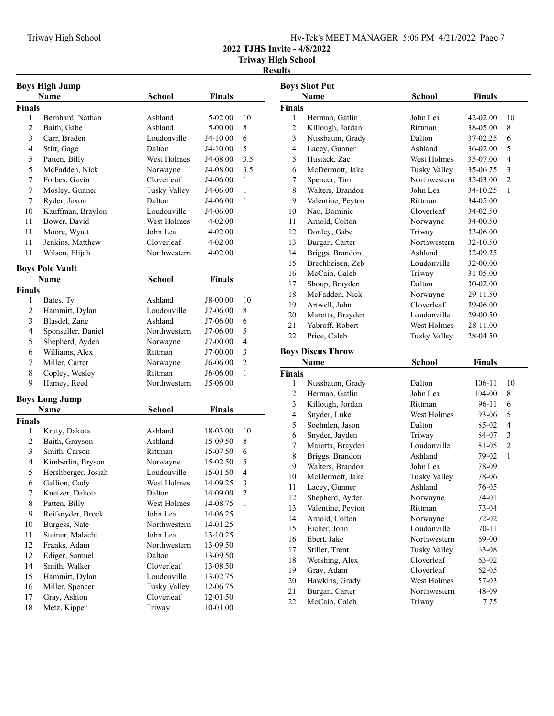**2022 TJHS Invite - 4/8/2022**

|                | <b>Boys High Jump</b>  |                     |               |                |
|----------------|------------------------|---------------------|---------------|----------------|
|                | Name                   | <b>School</b>       | <b>Finals</b> |                |
| <b>Finals</b>  |                        |                     |               |                |
| 1              | Bernhard, Nathan       | Ashland             | 5-02.00       | 10             |
| 2              | Baith, Gabe            | Ashland             | 5-00.00       | 8              |
| 3              | Carr, Braden           | Loudonville         | J4-10.00      | 6              |
| 4              | Stitt, Gage            | Dalton              | J4-10.00      | 5              |
| 5              | Patten, Billy          | West Holmes         | J4-08.00      | 3.5            |
| 5              | McFadden, Nick         | Norwayne            | J4-08.00      | 3.5            |
| 7              | Forbes, Gavin          | Cloverleaf          | J4-06.00      | 1              |
| 7              | Mosley, Gunner         | <b>Tusky Valley</b> | J4-06.00      | 1              |
| 7              | Ryder, Jaxon           | Dalton              | J4-06.00      | 1              |
| 10             | Kauffman, Braylon      | Loudonville         | J4-06.00      |                |
| 11             | Bower, David           | West Holmes         | 4-02.00       |                |
| 11             | Moore, Wyatt           | John Lea            | 4-02.00       |                |
| 11             | Jenkins, Matthew       | Cloverleaf          | 4-02.00       |                |
| 11             | Wilson, Elijah         | Northwestern        | 4-02.00       |                |
|                |                        |                     |               |                |
|                | <b>Boys Pole Vault</b> |                     |               |                |
|                | Name                   | School              | Finals        |                |
| <b>Finals</b>  |                        |                     |               |                |
| 1              | Bates, Ty              | Ashland             | J8-00.00      | 10             |
| $\overline{c}$ | Hammitt, Dylan         | Loudonville         | J7-06.00      | 8              |
| 3              | Blasdel, Zane          | Ashland             | J7-06.00      | 6              |
| $\overline{4}$ | Sponseller, Daniel     | Northwestern        | J7-06.00      | 5              |
| 5              | Shepherd, Ayden        | Norwayne            | J7-00.00      | 4              |
| 6              | Williams, Alex         | Rittman             | J7-00.00      | 3              |
| 7              | Miller, Carter         | Norwayne            | J6-06.00      | $\overline{2}$ |
| 8              | Copley, Wesley         | Rittman             | J6-06.00      | 1              |
| 9              | Hamey, Reed            | Northwestern        | J5-06.00      |                |
|                | <b>Boys Long Jump</b>  |                     |               |                |
|                | Name                   | <b>School</b>       | <b>Finals</b> |                |
| <b>Finals</b>  |                        |                     |               |                |
| 1              | Kruty, Dakota          | Ashland             | 18-03.00      | 10             |
| 2              | Baith, Grayson         | Ashland             | 15-09.50      | 8              |
| 3              | Smith, Carson          | Rittman             | 15-07.50      | 6              |
| $\overline{4}$ | Kimberlin, Bryson      | Norwayne            | 15-02.50      | 5              |
| 5              | Hershberger, Josiah    | Loudonville         | 15-01.50      | 4              |
| 6              | Gallion, Cody          | West Holmes         | 14-09.25      | 3              |
| 7              | Knetzer, Dakota        | Dalton              | 14-09.00      | 2              |
| 8              | Patten, Billy          | West Holmes         | 14-08.75      | 1              |
| 9              | Reifsnyder, Brock      | John Lea            | 14-06.25      |                |
| 10             | Burgess, Nate          | Northwestern        | 14-01.25      |                |
| 11             | Steiner, Malachi       | John Lea            | 13-10.25      |                |
| 12             | Franks, Adam           | Northwestern        | 13-09.50      |                |
| 12             | Ediger, Samuel         | Dalton              | 13-09.50      |                |
| 14             | Smith, Walker          | Cloverleaf          | 13-08.50      |                |
| 15             | Hammitt, Dylan         | Loudonville         | 13-02.75      |                |
| 16             | Miller, Spencer        | <b>Tusky Valley</b> | 12-06.75      |                |
| 17             | Gray, Ashton           | Cloverleaf          | 12-01.50      |                |
| 18             | Metz, Kipper           | Triway              | 10-01.00      |                |

|                | <b>Boys Shot Put</b>              |                        |               |                |
|----------------|-----------------------------------|------------------------|---------------|----------------|
|                | Name                              | <b>School</b>          | <b>Finals</b> |                |
| Finals         |                                   |                        |               |                |
| 1              | Herman, Gatlin                    | John Lea               | 42-02.00      | 10             |
| $\overline{c}$ | Killough, Jordan                  | Rittman                | 38-05.00      | 8              |
| 3              | Nussbaum, Grady                   | Dalton                 | 37-02.25      | 6              |
| $\overline{4}$ | Lacey, Gunner                     | Ashland                | 36-02.00      | 5              |
| 5              | Hustack, Zac                      | West Holmes            | 35-07.00      | $\overline{4}$ |
| 6              | McDermott, Jake                   | <b>Tusky Valley</b>    | 35-06.75      | 3              |
| 7              | Spencer, Tim                      | Northwestern           | 35-03.00      | $\overline{2}$ |
| 8              | Walters, Brandon                  | John Lea               | 34-10.25      | 1              |
| 9              | Valentine, Peyton                 | Rittman                | 34-05.00      |                |
| 10             | Nau, Dominic                      | Cloverleaf             | 34-02.50      |                |
| 11             | Arnold, Colton                    | Norwayne               | 34-00.50      |                |
| 12             | Donley, Gabe                      | Triway                 | 33-06.00      |                |
| 13             | Burgan, Carter                    | Northwestern           | 32-10.50      |                |
| 14             | Briggs, Brandon                   | Ashland                | 32-09.25      |                |
| 15             | Brechheisen, Zeb                  | Loudonville            | 32-00.00      |                |
| 16             | McCain, Caleb                     | Triway                 | 31-05.00      |                |
| 17             | Shoup, Brayden                    | Dalton                 | 30-02.00      |                |
| 18             | McFadden, Nick                    | Norwayne               | 29-11.50      |                |
| 19             | Artwell, John                     | Cloverleaf             | 29-06.00      |                |
| 20             | Marotta, Brayden                  | Loudonville            | 29-00.50      |                |
| 21             | Yabroff, Robert                   | West Holmes            | 28-11.00      |                |
| 22             | Price, Caleb                      | <b>Tusky Valley</b>    | 28-04.50      |                |
|                |                                   |                        |               |                |
|                | <b>Boys Discus Throw</b>          |                        |               |                |
|                | Name                              | School                 | <b>Finals</b> |                |
| Finals<br>1    |                                   | Dalton                 | 106-11        | 10             |
| $\overline{c}$ | Nussbaum, Grady<br>Herman, Gatlin | John Lea               | 104-00        | 8              |
| 3              | Killough, Jordan                  | Rittman                | 96-11         | 6              |
| 4              | Snyder, Luke                      | West Holmes            | 93-06         | 5              |
| 5              | Soehnlen, Jason                   | Dalton                 | 85-02         | 4              |
| 6              | Snyder, Jayden                    | Triway                 | 84-07         | 3              |
| 7              | Marotta, Brayden                  | Loudonville            | 81-05         | $\overline{2}$ |
| 8              |                                   |                        |               |                |
|                |                                   |                        |               |                |
|                | Briggs, Brandon                   | Ashland                | 79-02         | 1              |
| 9              | Walters, Brandon                  | John Lea               | 78-09         |                |
| 10             | McDermott, Jake                   | <b>Tusky Valley</b>    | 78-06         |                |
| 11             | Lacey, Gunner                     | Ashland                | 76-05         |                |
| 12             | Shepherd, Ayden                   | Norwayne               | 74-01         |                |
| 13             | Valentine, Peyton                 | Rittman                | 73-04         |                |
| 14             | Arnold, Colton                    | Norwayne               | 72-02         |                |
| 15             | Eicher, John                      | Loudonville            | 70-11         |                |
| 16             | Ebert, Jake                       | Northwestern           | 69-00         |                |
| 17             | Stiller, Trent                    | Tusky Valley           | 63-08         |                |
| 18             | Wershing, Alex                    | Cloverleaf             | 63-02         |                |
| 19             | Gray, Adam                        | Cloverleaf             | $62 - 05$     |                |
| $20\,$         | Hawkins, Grady                    | West Holmes            | 57-03         |                |
| 21<br>22       | Burgan, Carter<br>McCain, Caleb   | Northwestern<br>Triway | 48-09<br>7.75 |                |